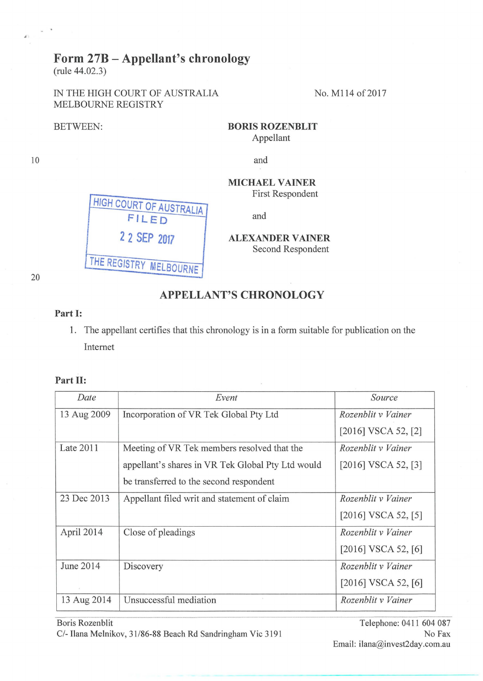## **Form 27B- Appellant's chronology**

(rule 44.02.3)

IN THE HIGH COURT OF AUSTRALIA No. M114 of 2017 MELBOURNE REGISTRY

> **HIGH COURT OF AUSTRALIA l FILED**

> > **2 2 SEP <sup>2017</sup>**

**THE REGISTRY MELBOURNE** 

BETWEEN: **BORIS ROZENBLIT** Appellant

and

**MICHAEL VAINER** First Respondent

and

**ALEXANDER VAINER** Second Respondent

20

10

## **APPELLANT'S CHRONOLOGY**

## **Part 1:**

1. The appellant certifies that this chronology is in a form suitable for publication on the Internet

## Part II:

| Date        | Event                                             | Source                  |
|-------------|---------------------------------------------------|-------------------------|
| 13 Aug 2009 | Incorporation of VR Tek Global Pty Ltd            | Rozenblit v Vainer      |
|             |                                                   | $[2016]$ VSCA 52, $[2]$ |
| Late 2011   | Meeting of VR Tek members resolved that the       | Rozenblit v Vainer      |
|             | appellant's shares in VR Tek Global Pty Ltd would | $[2016]$ VSCA 52, $[3]$ |
|             | be transferred to the second respondent           |                         |
| 23 Dec 2013 | Appellant filed writ and statement of claim       | Rozenblit v Vainer      |
|             |                                                   | $[2016]$ VSCA 52, [5]   |
| April 2014  | Close of pleadings                                | Rozenblit v Vainer      |
|             |                                                   | $[2016]$ VSCA 52, $[6]$ |
| June 2014   | Discovery                                         | Rozenblit v Vainer      |
|             |                                                   | $[2016]$ VSCA 52, $[6]$ |
| 13 Aug 2014 | Unsuccessful mediation                            | Rozenblit v Vainer      |

Boris Rozenblit Telephone: 0411 604 087 *C/-* Ilana Melnikov, 31/86-88 Beach Rd Sandringham Vic 3191 No Fax

-·············-·····-·············································· ... ··························-····-············-··-···-----············-·······-········-······ ··············································--·-·····----····---·-----··· Email: ilana@invest2day.com.au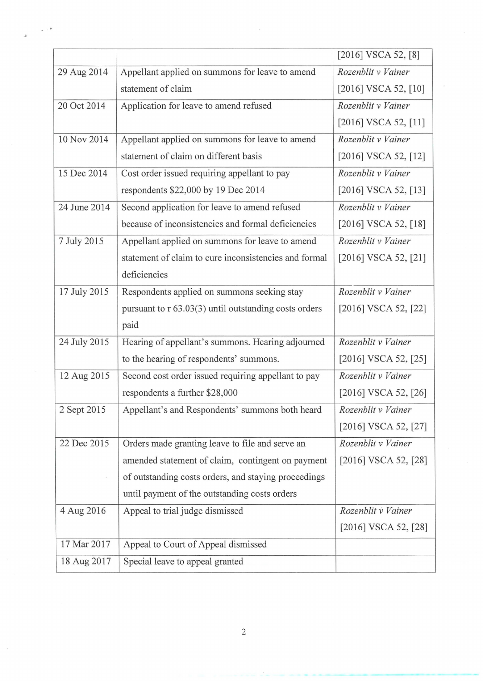|              |                                                       | [2016] VSCA 52, [8]      |
|--------------|-------------------------------------------------------|--------------------------|
| 29 Aug 2014  | Appellant applied on summons for leave to amend       | Rozenblit v Vainer       |
|              | statement of claim                                    | $[2016]$ VSCA 52, $[10]$ |
| 20 Oct 2014  | Application for leave to amend refused                | Rozenblit v Vainer       |
|              |                                                       | $[2016]$ VSCA 52, $[11]$ |
| 10 Nov 2014  | Appellant applied on summons for leave to amend       | Rozenblit v Vainer       |
|              | statement of claim on different basis                 | [2016] VSCA 52, [12]     |
| 15 Dec 2014  | Cost order issued requiring appellant to pay          | Rozenblit v Vainer       |
|              | respondents \$22,000 by 19 Dec 2014                   | [2016] VSCA 52, [13]     |
| 24 June 2014 | Second application for leave to amend refused         | Rozenblit v Vainer       |
|              | because of inconsistencies and formal deficiencies    | [2016] VSCA 52, [18]     |
| 7 July 2015  | Appellant applied on summons for leave to amend       | Rozenblit v Vainer       |
|              | statement of claim to cure inconsistencies and formal | $[2016]$ VSCA 52, $[21]$ |
|              | deficiencies                                          |                          |
| 17 July 2015 | Respondents applied on summons seeking stay           | Rozenblit v Vainer       |
|              | pursuant to r 63.03(3) until outstanding costs orders | [2016] VSCA 52, [22]     |
|              | paid                                                  |                          |
| 24 July 2015 | Hearing of appellant's summons. Hearing adjourned     | Rozenblit v Vainer       |
|              | to the hearing of respondents' summons.               | $[2016]$ VSCA 52, $[25]$ |
| 12 Aug 2015  | Second cost order issued requiring appellant to pay   | Rozenblit v Vainer       |
|              | respondents a further \$28,000                        | $[2016]$ VSCA 52, $[26]$ |
| 2 Sept 2015  | Appellant's and Respondents' summons both heard       | Rozenblit v Vainer       |
|              |                                                       | [2016] VSCA 52, [27]     |
| 22 Dec 2015  | Orders made granting leave to file and serve an       | Rozenblit v Vainer       |
|              | amended statement of claim, contingent on payment     | $[2016]$ VSCA 52, $[28]$ |
|              | of outstanding costs orders, and staying proceedings  |                          |
|              | until payment of the outstanding costs orders         |                          |
| 4 Aug 2016   | Appeal to trial judge dismissed                       | Rozenblit v Vainer       |
|              |                                                       | $[2016]$ VSCA 52, $[28]$ |
| 17 Mar 2017  | Appeal to Court of Appeal dismissed                   |                          |
| 18 Aug 2017  | Special leave to appeal granted                       |                          |

..